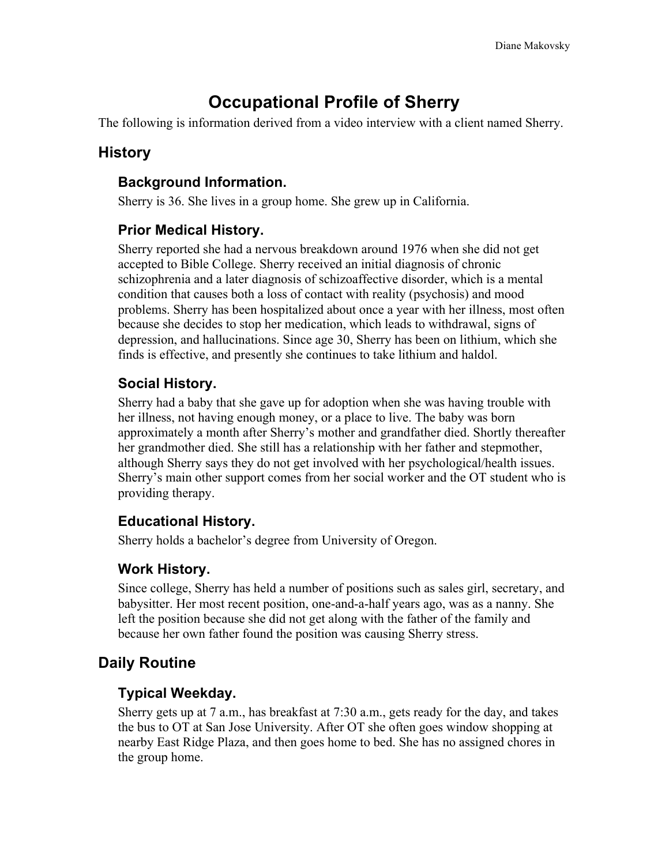# **Occupational Profile of Sherry**

The following is information derived from a video interview with a client named Sherry.

# **History**

#### **Background Information.**

Sherry is 36. She lives in a group home. She grew up in California.

# **Prior Medical History.**

Sherry reported she had a nervous breakdown around 1976 when she did not get accepted to Bible College. Sherry received an initial diagnosis of chronic schizophrenia and a later diagnosis of schizoaffective disorder, which is a mental condition that causes both a loss of contact with reality (psychosis) and mood problems. Sherry has been hospitalized about once a year with her illness, most often because she decides to stop her medication, which leads to withdrawal, signs of depression, and hallucinations. Since age 30, Sherry has been on lithium, which she finds is effective, and presently she continues to take lithium and haldol.

# **Social History.**

Sherry had a baby that she gave up for adoption when she was having trouble with her illness, not having enough money, or a place to live. The baby was born approximately a month after Sherry's mother and grandfather died. Shortly thereafter her grandmother died. She still has a relationship with her father and stepmother, although Sherry says they do not get involved with her psychological/health issues. Sherry's main other support comes from her social worker and the OT student who is providing therapy.

# **Educational History.**

Sherry holds a bachelor's degree from University of Oregon.

# **Work History.**

Since college, Sherry has held a number of positions such as sales girl, secretary, and babysitter. Her most recent position, one-and-a-half years ago, was as a nanny. She left the position because she did not get along with the father of the family and because her own father found the position was causing Sherry stress.

# **Daily Routine**

# **Typical Weekday.**

Sherry gets up at 7 a.m., has breakfast at 7:30 a.m., gets ready for the day, and takes the bus to OT at San Jose University. After OT she often goes window shopping at nearby East Ridge Plaza, and then goes home to bed. She has no assigned chores in the group home.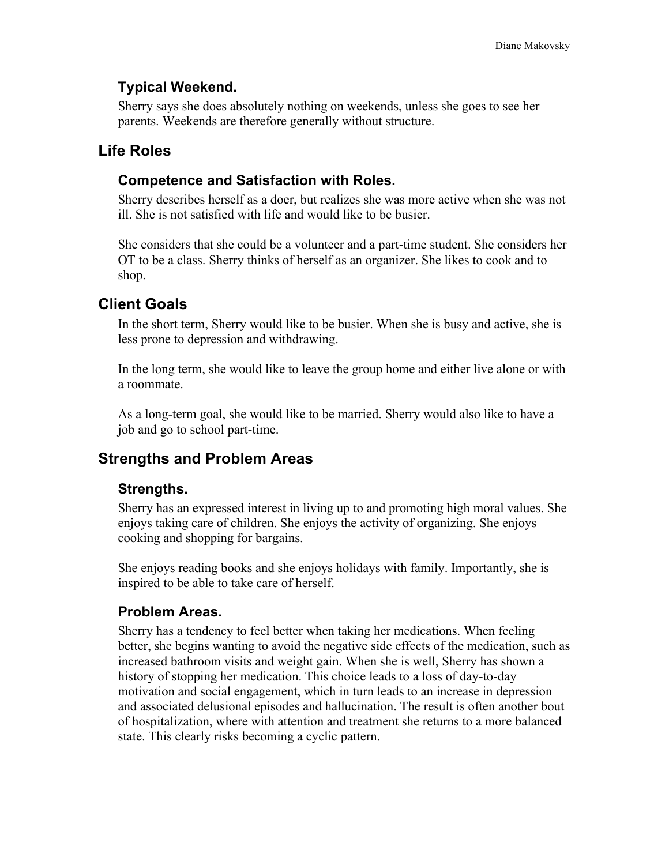#### **Typical Weekend.**

Sherry says she does absolutely nothing on weekends, unless she goes to see her parents. Weekends are therefore generally without structure.

# **Life Roles**

#### **Competence and Satisfaction with Roles.**

Sherry describes herself as a doer, but realizes she was more active when she was not ill. She is not satisfied with life and would like to be busier.

She considers that she could be a volunteer and a part-time student. She considers her OT to be a class. Sherry thinks of herself as an organizer. She likes to cook and to shop.

# **Client Goals**

In the short term, Sherry would like to be busier. When she is busy and active, she is less prone to depression and withdrawing.

In the long term, she would like to leave the group home and either live alone or with a roommate.

As a long-term goal, she would like to be married. Sherry would also like to have a job and go to school part-time.

# **Strengths and Problem Areas**

# **Strengths.**

Sherry has an expressed interest in living up to and promoting high moral values. She enjoys taking care of children. She enjoys the activity of organizing. She enjoys cooking and shopping for bargains.

She enjoys reading books and she enjoys holidays with family. Importantly, she is inspired to be able to take care of herself.

# **Problem Areas.**

Sherry has a tendency to feel better when taking her medications. When feeling better, she begins wanting to avoid the negative side effects of the medication, such as increased bathroom visits and weight gain. When she is well, Sherry has shown a history of stopping her medication. This choice leads to a loss of day-to-day motivation and social engagement, which in turn leads to an increase in depression and associated delusional episodes and hallucination. The result is often another bout of hospitalization, where with attention and treatment she returns to a more balanced state. This clearly risks becoming a cyclic pattern.